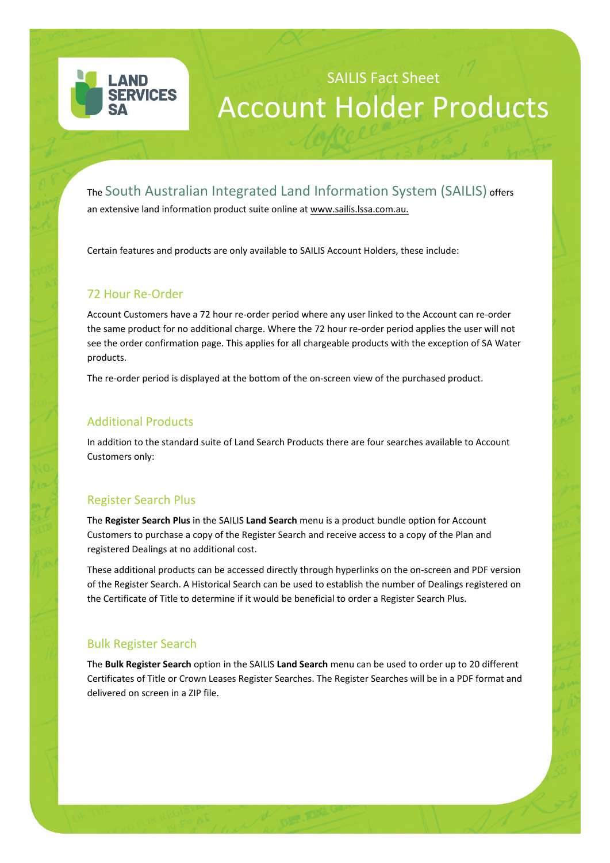

# SAILIS Fact Sheet Account Holder Products

# The South Australian Integrated Land Information System (SAILIS) offers

an extensive land information product suite online at www.sailis.lssa.com.au.

Certain features and products are only available to SAILIS Account Holders, these include:

#### 72 Hour Re-Order

Account Customers have a 72 hour re-order period where any user linked to the Account can re-order the same product for no additional charge. Where the 72 hour re-order period applies the user will not see the order confirmation page. This applies for all chargeable products with the exception of SA Water products.

The re-order period is displayed at the bottom of the on-screen view of the purchased product.

# Additional Products

In addition to the standard suite of Land Search Products there are four searches available to Account Customers only:

#### Register Search Plus

The **Register Search Plus** in the SAILIS **Land Search** menu is a product bundle option for Account Customers to purchase a copy of the Register Search and receive access to a copy of the Plan and registered Dealings at no additional cost.

These additional products can be accessed directly through hyperlinks on the on-screen and PDF version of the Register Search. A Historical Search can be used to establish the number of Dealings registered on the Certificate of Title to determine if it would be beneficial to order a Register Search Plus.

#### Bulk Register Search

The **Bulk Register Search** option in the SAILIS **Land Search** menu can be used to order up to 20 different Certificates of Title or Crown Leases Register Searches. The Register Searches will be in a PDF format and delivered on screen in a ZIP file.